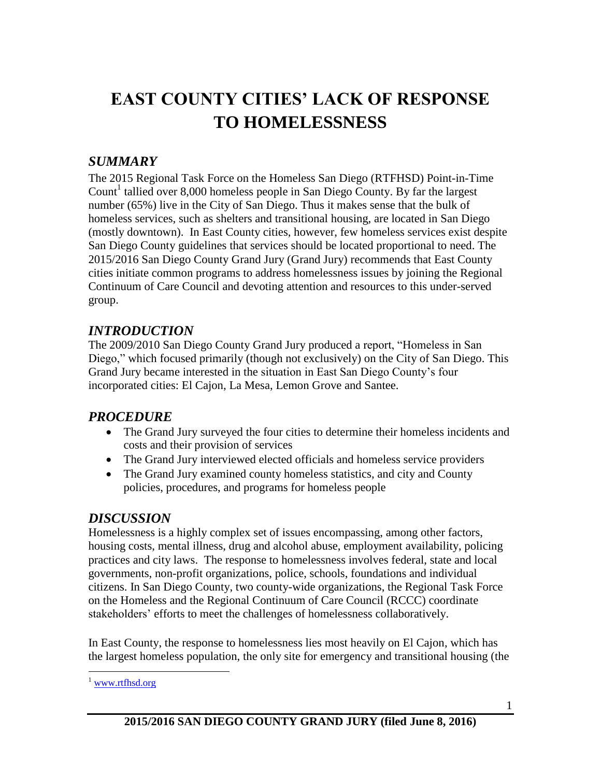# **EAST COUNTY CITIES' LACK OF RESPONSE TO HOMELESSNESS**

### *SUMMARY*

The 2015 Regional Task Force on the Homeless San Diego (RTFHSD) Point-in-Time Count<sup>1</sup> tallied over 8,000 homeless people in San Diego County. By far the largest number (65%) live in the City of San Diego. Thus it makes sense that the bulk of homeless services, such as shelters and transitional housing, are located in San Diego (mostly downtown). In East County cities, however, few homeless services exist despite San Diego County guidelines that services should be located proportional to need. The 2015/2016 San Diego County Grand Jury (Grand Jury) recommends that East County cities initiate common programs to address homelessness issues by joining the Regional Continuum of Care Council and devoting attention and resources to this under-served group.

## *INTRODUCTION*

The 2009/2010 San Diego County Grand Jury produced a report, "Homeless in San Diego," which focused primarily (though not exclusively) on the City of San Diego. This Grand Jury became interested in the situation in East San Diego County's four incorporated cities: El Cajon, La Mesa, Lemon Grove and Santee.

### *PROCEDURE*

- The Grand Jury surveyed the four cities to determine their homeless incidents and costs and their provision of services
- The Grand Jury interviewed elected officials and homeless service providers
- The Grand Jury examined county homeless statistics, and city and County policies, procedures, and programs for homeless people

### *DISCUSSION*

Homelessness is a highly complex set of issues encompassing, among other factors, housing costs, mental illness, drug and alcohol abuse, employment availability, policing practices and city laws. The response to homelessness involves federal, state and local governments, non-profit organizations, police, schools, foundations and individual citizens. In San Diego County, two county-wide organizations, the Regional Task Force on the Homeless and the Regional Continuum of Care Council (RCCC) coordinate stakeholders' efforts to meet the challenges of homelessness collaboratively.

In East County, the response to homelessness lies most heavily on El Cajon, which has the largest homeless population, the only site for emergency and transitional housing (the

 $\overline{a}$ 

<sup>1</sup> [www.rtfhsd.org](http://www.rtfhsd.org/)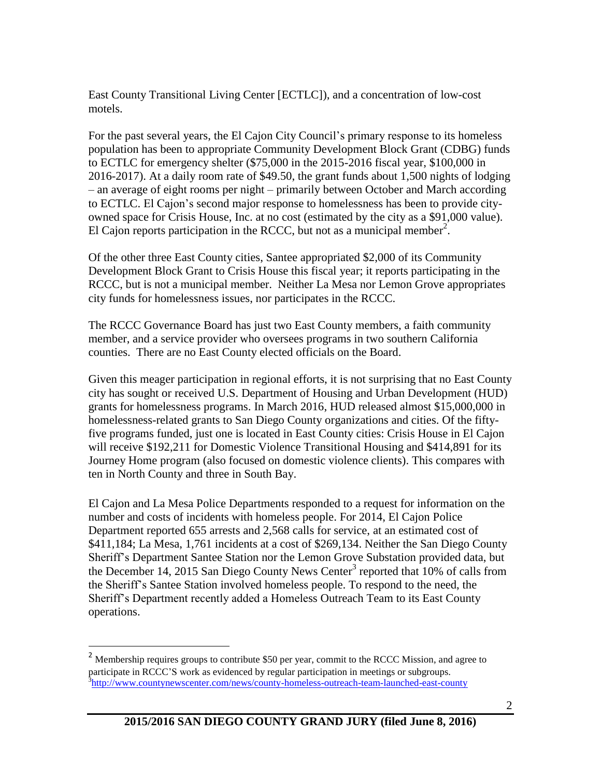East County Transitional Living Center [ECTLC]), and a concentration of low-cost motels.

For the past several years, the El Cajon City Council's primary response to its homeless population has been to appropriate Community Development Block Grant (CDBG) funds to ECTLC for emergency shelter (\$75,000 in the 2015-2016 fiscal year, \$100,000 in 2016-2017). At a daily room rate of \$49.50, the grant funds about 1,500 nights of lodging – an average of eight rooms per night – primarily between October and March according to ECTLC. El Cajon's second major response to homelessness has been to provide cityowned space for Crisis House, Inc. at no cost (estimated by the city as a \$91,000 value). El Cajon reports participation in the RCCC, but not as a municipal member<sup>2</sup>.

Of the other three East County cities, Santee appropriated \$2,000 of its Community Development Block Grant to Crisis House this fiscal year; it reports participating in the RCCC, but is not a municipal member. Neither La Mesa nor Lemon Grove appropriates city funds for homelessness issues, nor participates in the RCCC.

The RCCC Governance Board has just two East County members, a faith community member, and a service provider who oversees programs in two southern California counties. There are no East County elected officials on the Board.

Given this meager participation in regional efforts, it is not surprising that no East County city has sought or received U.S. Department of Housing and Urban Development (HUD) grants for homelessness programs. In March 2016, HUD released almost \$15,000,000 in homelessness-related grants to San Diego County organizations and cities. Of the fiftyfive programs funded, just one is located in East County cities: Crisis House in El Cajon will receive \$192,211 for Domestic Violence Transitional Housing and \$414,891 for its Journey Home program (also focused on domestic violence clients). This compares with ten in North County and three in South Bay.

El Cajon and La Mesa Police Departments responded to a request for information on the number and costs of incidents with homeless people. For 2014, El Cajon Police Department reported 655 arrests and 2,568 calls for service, at an estimated cost of \$411,184; La Mesa, 1,761 incidents at a cost of \$269,134. Neither the San Diego County Sheriff's Department Santee Station nor the Lemon Grove Substation provided data, but the December 14, 2015 San Diego County News Center<sup>3</sup> reported that 10% of calls from the Sheriff's Santee Station involved homeless people. To respond to the need, the Sheriff's Department recently added a Homeless Outreach Team to its East County operations.

 $\overline{a}$ 

<sup>&</sup>lt;sup>2</sup> Membership requires groups to contribute \$50 per year, commit to the RCCC Mission, and agree to participate in RCCC'S work as evidenced by regular participation in meetings or subgroups. <sup>3</sup><http://www.countynewscenter.com/news/county-homeless-outreach-team-launched-east-county>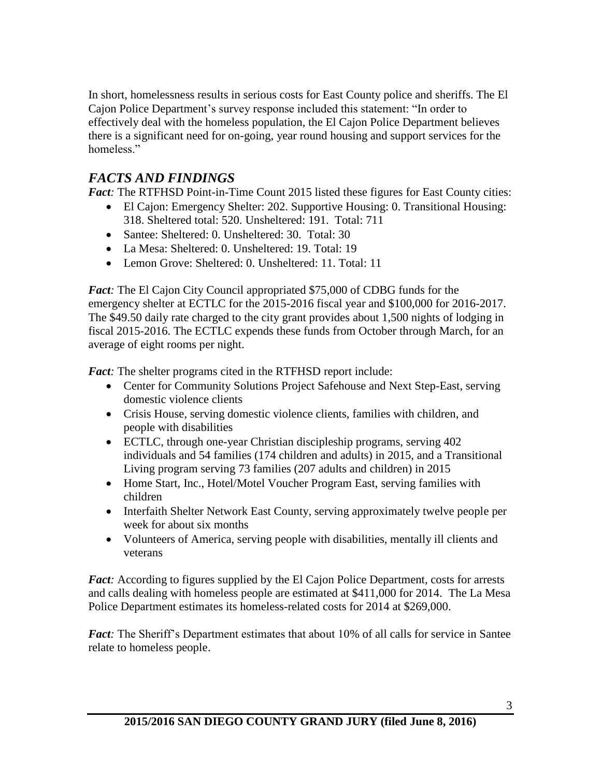In short, homelessness results in serious costs for East County police and sheriffs. The El Cajon Police Department's survey response included this statement: "In order to effectively deal with the homeless population, the El Cajon Police Department believes there is a significant need for on-going, year round housing and support services for the homeless<sup>"</sup>

#### *FACTS AND FINDINGS*

*Fact*: The RTFHSD Point-in-Time Count 2015 listed these figures for East County cities:

- El Cajon: Emergency Shelter: 202. Supportive Housing: 0. Transitional Housing: 318. Sheltered total: 520. Unsheltered: 191. Total: 711
- Santee: Sheltered: 0. Unsheltered: 30. Total: 30
- La Mesa: Sheltered: 0. Unsheltered: 19. Total: 19
- Lemon Grove: Sheltered: 0. Unsheltered: 11. Total: 11

*Fact:* The El Cajon City Council appropriated \$75,000 of CDBG funds for the emergency shelter at ECTLC for the 2015-2016 fiscal year and \$100,000 for 2016-2017. The \$49.50 daily rate charged to the city grant provides about 1,500 nights of lodging in fiscal 2015-2016. The ECTLC expends these funds from October through March, for an average of eight rooms per night.

*Fact:* The shelter programs cited in the RTFHSD report include:

- Center for Community Solutions Project Safehouse and Next Step-East, serving domestic violence clients
- Crisis House, serving domestic violence clients, families with children, and people with disabilities
- ECTLC, through one-year Christian discipleship programs, serving 402 individuals and 54 families (174 children and adults) in 2015, and a Transitional Living program serving 73 families (207 adults and children) in 2015
- Home Start, Inc., Hotel/Motel Voucher Program East, serving families with children
- Interfaith Shelter Network East County, serving approximately twelve people per week for about six months
- Volunteers of America, serving people with disabilities, mentally ill clients and veterans

*Fact*: According to figures supplied by the El Cajon Police Department, costs for arrests and calls dealing with homeless people are estimated at \$411,000 for 2014. The La Mesa Police Department estimates its homeless-related costs for 2014 at \$269,000.

*Fact:* The Sheriff's Department estimates that about 10% of all calls for service in Santee relate to homeless people.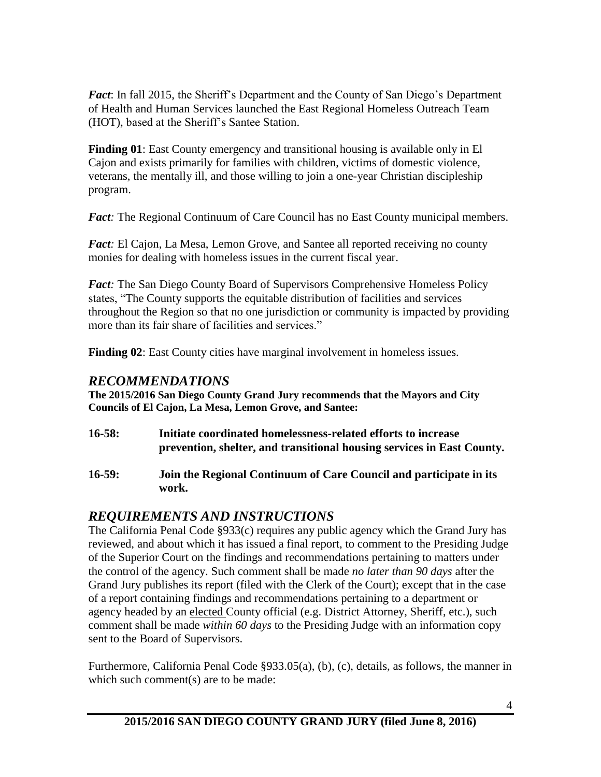*Fact*: In fall 2015, the Sheriff's Department and the County of San Diego's Department of Health and Human Services launched the East Regional Homeless Outreach Team (HOT), based at the Sheriff's Santee Station.

**Finding 01**: East County emergency and transitional housing is available only in El Cajon and exists primarily for families with children, victims of domestic violence, veterans, the mentally ill, and those willing to join a one-year Christian discipleship program.

*Fact*: The Regional Continuum of Care Council has no East County municipal members.

*Fact*: El Cajon, La Mesa, Lemon Grove, and Santee all reported receiving no county monies for dealing with homeless issues in the current fiscal year.

*Fact:* The San Diego County Board of Supervisors Comprehensive Homeless Policy states, "The County supports the equitable distribution of facilities and services throughout the Region so that no one jurisdiction or community is impacted by providing more than its fair share of facilities and services."

**Finding 02**: East County cities have marginal involvement in homeless issues.

#### *RECOMMENDATIONS*

**The 2015/2016 San Diego County Grand Jury recommends that the Mayors and City Councils of El Cajon, La Mesa, Lemon Grove, and Santee:**

- **16-58: Initiate coordinated homelessness-related efforts to increase prevention, shelter, and transitional housing services in East County.**
- **16-59: Join the Regional Continuum of Care Council and participate in its work.**

### *REQUIREMENTS AND INSTRUCTIONS*

The California Penal Code §933(c) requires any public agency which the Grand Jury has reviewed, and about which it has issued a final report, to comment to the Presiding Judge of the Superior Court on the findings and recommendations pertaining to matters under the control of the agency. Such comment shall be made *no later than 90 days* after the Grand Jury publishes its report (filed with the Clerk of the Court); except that in the case of a report containing findings and recommendations pertaining to a department or agency headed by an elected County official (e.g. District Attorney, Sheriff, etc.), such comment shall be made *within 60 days* to the Presiding Judge with an information copy sent to the Board of Supervisors.

Furthermore, California Penal Code §933.05(a), (b), (c), details, as follows, the manner in which such comment(s) are to be made: